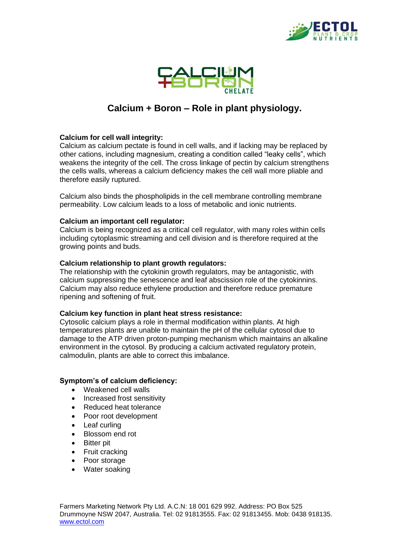



# **Calcium + Boron – Role in plant physiology.**

### **Calcium for cell wall integrity:**

Calcium as calcium pectate is found in cell walls, and if lacking may be replaced by other cations, including magnesium, creating a condition called "leaky cells", which weakens the integrity of the cell. The cross linkage of pectin by calcium strengthens the cells walls, whereas a calcium deficiency makes the cell wall more pliable and therefore easily ruptured.

Calcium also binds the phospholipids in the cell membrane controlling membrane permeability. Low calcium leads to a loss of metabolic and ionic nutrients.

#### **Calcium an important cell regulator:**

Calcium is being recognized as a critical cell regulator, with many roles within cells including cytoplasmic streaming and cell division and is therefore required at the growing points and buds.

#### **Calcium relationship to plant growth regulators:**

The relationship with the cytokinin growth regulators, may be antagonistic, with calcium suppressing the senescence and leaf abscission role of the cytokinnins. Calcium may also reduce ethylene production and therefore reduce premature ripening and softening of fruit.

#### **Calcium key function in plant heat stress resistance:**

Cytosolic calcium plays a role in thermal modification within plants. At high temperatures plants are unable to maintain the pH of the cellular cytosol due to damage to the ATP driven proton-pumping mechanism which maintains an alkaline environment in the cytosol. By producing a calcium activated regulatory protein, calmodulin, plants are able to correct this imbalance.

#### **Symptom's of calcium deficiency:**

- Weakened cell walls
- Increased frost sensitivity
- Reduced heat tolerance
- Poor root development
- Leaf curling
- Blossom end rot
- **Bitter pit**
- Fruit cracking
- Poor storage
- Water soaking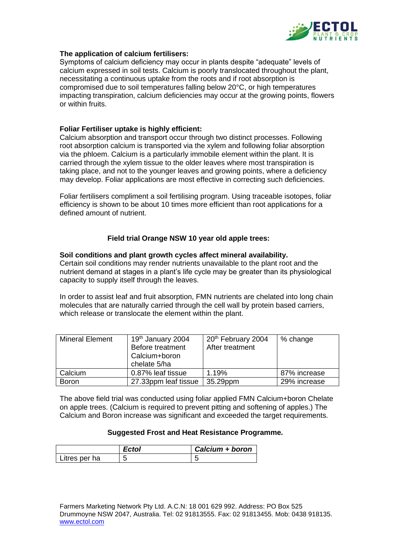

#### **The application of calcium fertilisers:**

Symptoms of calcium deficiency may occur in plants despite "adequate" levels of calcium expressed in soil tests. Calcium is poorly translocated throughout the plant, necessitating a continuous uptake from the roots and if root absorption is compromised due to soil temperatures falling below 20°C, or high temperatures impacting transpiration, calcium deficiencies may occur at the growing points, flowers or within fruits.

## **Foliar Fertiliser uptake is highly efficient:**

Calcium absorption and transport occur through two distinct processes. Following root absorption calcium is transported via the xylem and following foliar absorption via the phloem. Calcium is a particularly immobile element within the plant. It is carried through the xylem tissue to the older leaves where most transpiration is taking place, and not to the younger leaves and growing points, where a deficiency may develop. Foliar applications are most effective in correcting such deficiencies.

Foliar fertilisers compliment a soil fertilising program. Using traceable isotopes, foliar efficiency is shown to be about 10 times more efficient than root applications for a defined amount of nutrient.

## **Field trial Orange NSW 10 year old apple trees:**

#### **Soil conditions and plant growth cycles affect mineral availability.**

Certain soil conditions may render nutrients unavailable to the plant root and the nutrient demand at stages in a plant's life cycle may be greater than its physiological capacity to supply itself through the leaves.

In order to assist leaf and fruit absorption, FMN nutrients are chelated into long chain molecules that are naturally carried through the cell wall by protein based carriers, which release or translocate the element within the plant.

| <b>Mineral Element</b> | 19th January 2004<br>Before treatment<br>Calcium+boron<br>chelate 5/ha | 20 <sup>th</sup> February 2004<br>After treatment | % change     |
|------------------------|------------------------------------------------------------------------|---------------------------------------------------|--------------|
| Calcium                | 0.87% leaf tissue                                                      | 1.19%                                             | 87% increase |
| <b>Boron</b>           | 27.33ppm leaf tissue                                                   | 35.29ppm                                          | 29% increase |

The above field trial was conducted using foliar applied FMN Calcium+boron Chelate on apple trees. (Calcium is required to prevent pitting and softening of apples.) The Calcium and Boron increase was significant and exceeded the target requirements.

#### **Suggested Frost and Heat Resistance Programme.**

|               | Calcium + boron |
|---------------|-----------------|
| Litres per ha |                 |